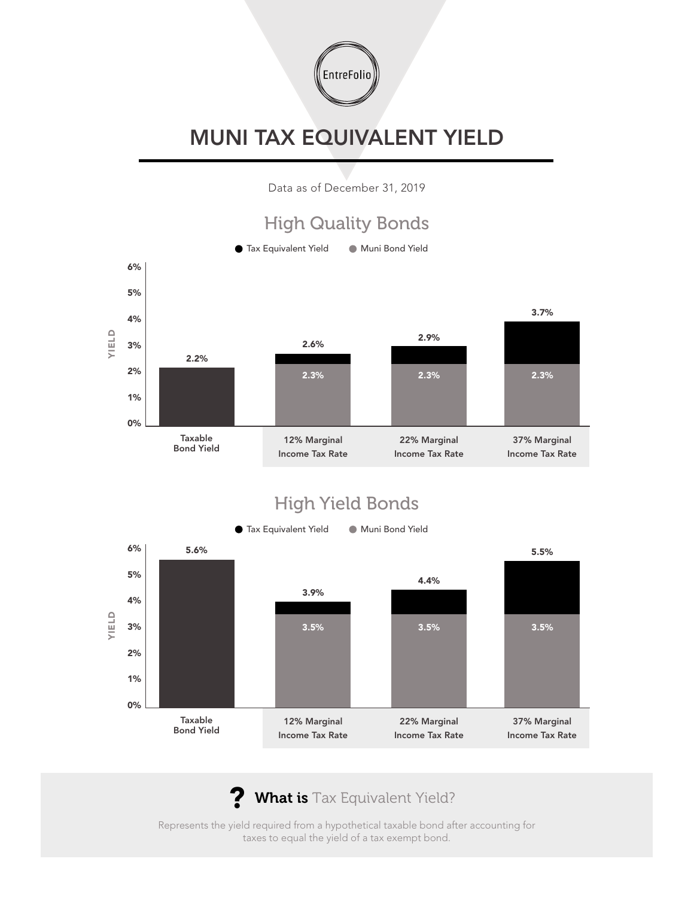

## MUNI TAX EQUIVALENT YIELD

Data as of December 31, 2019



## High Yield Bonds



? What is Tax Equivalent Yield?

Represents the yield required from a hypothetical taxable bond after accounting for taxes to equal the yield of a tax exempt bond.